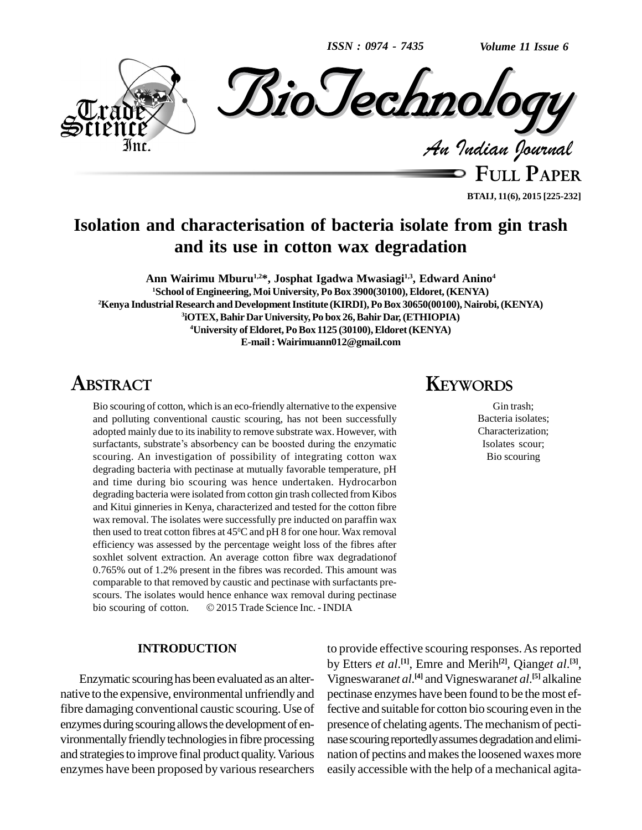*ISSN : 0974 - 7435*

*Volume 11 Issue 6*



**FULL PAPER BTAIJ, 11(6), 2015 [225-232]**

# **Isolation and characterisation of bacteria isolate from gin trash and its use in cotton wax degradation**

**Ann Wairimu Mburu 1,2\*, Josphat Igadwa Mwasiagi1,3 , Edward Anino 4 School ofEngineering,Moi University, PoBox 3900(30100),Eldoret, (KENYA) Kenya IndustrialResearch andDevelopmentInstitute (KIRDI),PoBox 30650(00100), Nairobi,(KENYA) iOTEX,BahirDarUniversity,Po box 26,BahirDar,(ETHIOPIA) University ofEldoret,PoBox 1125 (30100),Eldoret(KENYA) E-mail:[Wairimuann012@gmail.com](mailto:Wairimuann012@gmail.com)**

# **ABSTRACT**

Bio scouring of cotton, which is an eco-friendly alternative to the expensive and polluting conventional caustic scouring, has not been successfully adopted mainly due to its inability to remove substrate wax. However, with surfactants, substrate's absorbency can be boosted during the enzymatic scouring. An investigation of possibility of integrating cotton wax degrading bacteria with pectinase at mutually favorable temperature, pH and time during bio scouring was hence undertaken. Hydrocarbon degrading bacteria were isolated from cotton gin trash collected from Kibos and Kitui ginneries in Kenya, characterized and tested for the cotton fibre wax removal. The isolates were successfully pre inducted on paraffin wax then used to treat cotton fibres at 45 <sup>0</sup>C and pH 8 for one hour. Wax removal efficiency was assessed by the percentage weight loss of the fibres after soxhlet solvent extraction. An average cotton fibre wax degradationof 0.765% out of 1.2% present in the fibres was recorded. This amount was comparable to that removed by caustic and pectinase with surfactants pre-<br>scours. The isolates would hence enhance wax removal during pectinase<br>bio scouring of cotton. © 2015 Trade Science Inc. - INDIA scours. The isolates would hence enhance wax removal during pectinase

#### **INTRODUCTION**

Enzymatic scouringhas been evaluated as an alter native to the expensive, environmental unfriendly and fibre damaging conventional caustic scouring. Use of enzymes during scouring allows the development of environmentally friendly technologies in fibre processing and strategiesto improve final product quality.Various enzymes have been proposed by various researchers

## **KEYWORDS**

Gin trash; Bacteria isolates; Characterization; Isolates scour; Bio scouring

to provide effective scouring responses. As reported by Etters *et al*. **[1]**, Emre and Merih **[2]**, Qiang*et al*. **[3]**, Vigneswaran*et al*. **[4]** and Vigneswaran*et al*. **[5]** alkaline pectinase enzymes have been found to be the most effective and suitable for cotton bio scouring even in the presence of chelating agents. The mechanism of pectinase scouring reportedly assumes degradation and elimination of pectins and makes the loosened waxes more easily accessible with the help of a mechanical agita-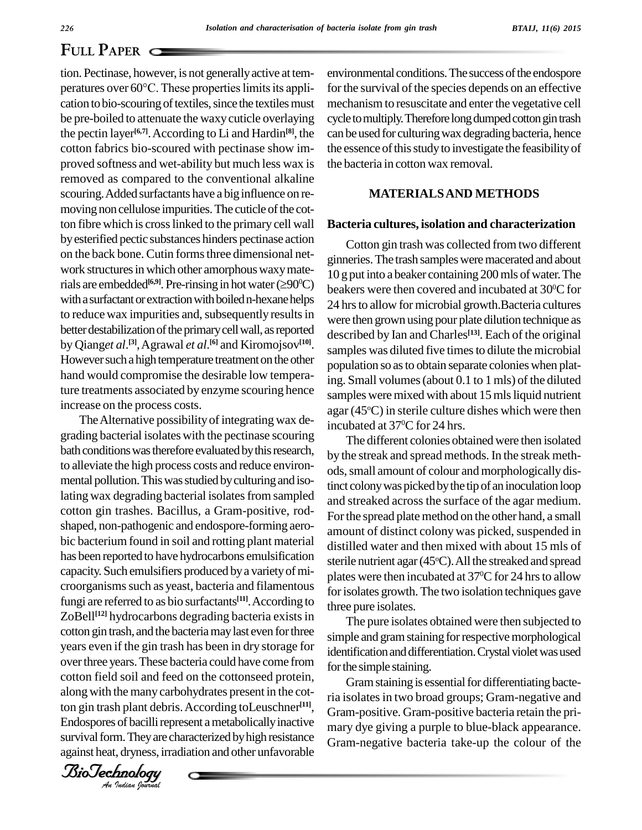tion. Pectinase, however, is not generallyactive at tem- **PULL 1 APER**<br>tion. Pectinase, however, is not generally active at tem-<br>peratures over 60°C. These properties limits its appli-<br>for cation to bio-scouring of textiles, since the textiles must be pre-boiled to attenuate the waxycuticle overlaying the pectin layer<sup>[6,7]</sup>. According to Li and Hardin<sup>[8]</sup>, the can be cotton fabrics bio-scoured with pectinase show im proved softness and wet-ability but much less wax is removed as compared to the conventional alkaline scouring. Added surfactants have a big influence on removing non cellulose impurities. The cuticle of the cotton fibre which is cross linked to the primary cell wall byesterified pectic substances hinders pectinase action on the back bone. Cutin forms three dimensional network structures in which other amorphous waxy mateon the back bone. Cutin forms three dimensional net-<br>work structures in which other amorphous waxy mate-<br>rials are embedded<sup>[6,9]</sup>. Pre-rinsing in hot water ( $\geq 90^{\circ}$ C) with a surfactant or extraction with boiled n-hexane helps to reduce wax impurities and, subsequently results in better destabilization of the primary cell wall, as reported by Qianget  $al^{[3]}$ , Agrawal et  $al^{[6]}$  and Kiromojsov<sup>[10]</sup>. sam However such a high temperature treatment on the other hand would compromise the desirable low temperature treatments associated by enzyme scouring hence increase on the process costs.

years even if the gin trash has been in dry storage for identification<br>over three years. These bacteria could have come from  $\frac{1}{2}$  for the simple along with the many carbohydrates present in the cot-The Alternative possibility of integrating wax degrading bacterial isolates with the pectinase scouring bath conditions was therefore evaluated by this research, to alleviate the high process costs and reduce environ mental pollution. This was studied by culturing and isolating wax degrading bacterial isolates from sampled cotton gin trashes. Bacillus*,* a Gram-positive, rod shaped, non-pathogenic and endospore-forming aero bic bacterium found in soil and rotting plant material has been reported to have hydrocarbons emulsification capacity. Such emulsifiers produced bya varietyofmi croorganisms such as yeast, bacteria and filamentous fungi are referred to as bio surfactants<sup>[11]</sup>. According to  $\frac{1}{\text{three no}}$ ZoBell<sup>[12]</sup> hydrocarbons degrading bacteria exists in cotton gin trash, and the bacteria may last even for three years even if the gin trash has been in dry storage for cotton field soiland feed on the cottonseed protein, ton gin trash plant debris. According toLeuschner<sup>[11]</sup>, <sub>G</sub> Endospores of bacilli represent a metabolically inactive survival form. They are characterized by high resistance against heat, dryness, irradiation and other unfavorable

environmental conditions. The success of the endospore for the survival of the species depends on an effective mechanism to resuscitate and enter the vegetative cell cycle to multiply. Therefore long dumped cotton gin trash can be used for culturing wax degrading bacteria, hence the essence of this study to investigate the feasibility of the bacteria in cotton wax removal.

#### **MATERIALSAND METHODS**

#### **Bacteria cultures, isolation and characterization**

Cotton gin trash was collected from two different ginneries.The trash samplesweremacerated and about 10 g put into a beaker containing 200mls ofwater.The beakers were then covered and incubated at 30°C for 24 hrs to allow for microbial growth.Bacteria cultures were then grown using pour plate dilution technique as described by Ian and Charles **[13]**. Each of the original samples was diluted five times to dilute the microbial population so as to obtain separate colonies when plating. Small volumes(about 0.1 to 1 mls) of the diluted samples were mixed with about 15 mls liquid nutrient agar (45°C) in sterile culture dishes which were then incubated at 37 <sup>0</sup>C for 24 hrs.

The different colonies obtained were then isolated by the streak and spread methods. In the streak meth ods, small amount of colour and morphologically distinct colony was picked by the tip of an inoculation loop and streaked across the surface of the agar medium. For the spread plate method on the other hand, a small amount of distinct colony was picked, suspended in distilled water and then mixed with about 15 mls of sterile nutrient agar (45°C). All the streaked and spread plates were then incubated at 37 $^{\rm o}$ C for 24 hrs to allow for isolates growth. The two isolation techniques gave three pure isolates.

The pure isolates obtained were then subjected to simple and gram staining for respective morphological identification and differentiation. Crystal violet was used for the simple staining.

Gram staining is essential for differentiating bacteria isolates in two broad groups; Gram-negative and Gram-positive. Gram-positive bacteria retain the pri mary dye giving a purple to blue-black appearance. Gram-negative bacteria take-up the colour of the

*Indian Journal*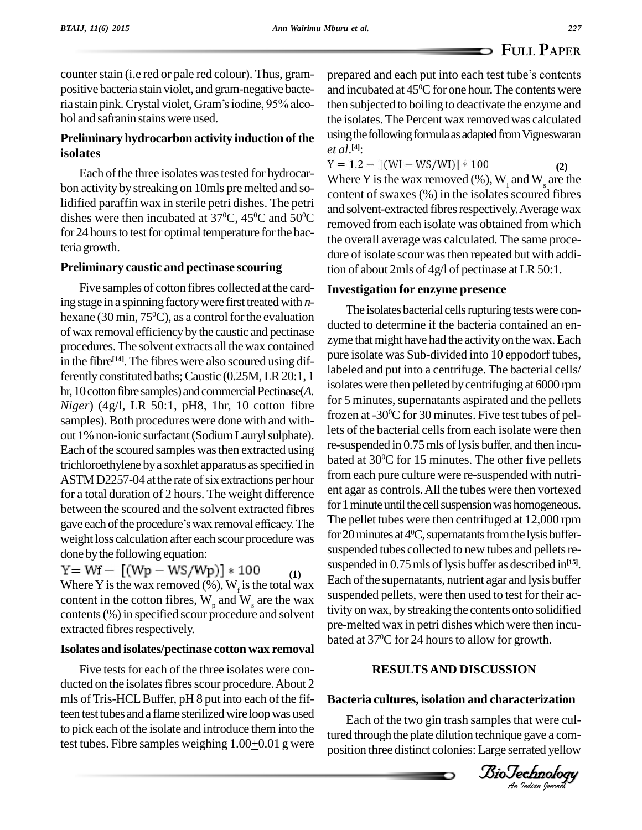counter stain (i.e red or pale red colour). Thus, grampositive bacteria stain violet, and gram-negative bacteria stain pink. Crystal violet, Gram's iodine, 95% alcohol and safranin stains were used.

### **Preliminary hydrocarbon activity induction of the isolates**

bon activity by streaking on 10mls premelted and solidified paraffin wax in sterile petri dishes. The petri dishes were then incubated at 37<sup>o</sup>C, 45<sup>o</sup>C and 50<sup>o</sup>C  $\frac{d}{d\theta}$ for 24 hours to test for optimal temperature for the bacteria growth.

### **Preliminary caustic and pectinase scouring**

Five samples of cotton fibres collected at the carding stage in a spinning factory were first treated with *n*hexane (30 min, 75<sup>o</sup>C), as a control for the evaluation of wax removal efficiencybythe caustic and pectinase procedures.The solvent extracts all thewax contained in the fibre<sup>[14]</sup>. The fibres were also scoured using differently constituted baths; Caustic (0.25M, LR 20:1, 1) hr, 10 cotton fibre samples) and commercial Pectinase(A. *Niger*) (4g/l, LR 50:1, pH8, 1hr, 10 cotton fibre samples). Both procedures were done with and with out 1% non-ionic surfactant (Sodium Lauryl sulphate). Each of the scoured samples was then extracted using trichloroethylene bya soxhlet apparatus asspecified in ASTM D2257-04 at the rate of six extractions per hour for a total duration of 2 hours. The weight difference between the scoured and the solvent extracted fibres gave each of the procedure's wax removal efficacy. The weight loss calculation after each scour procedure was done bythe following equation:

 $Y = Wf - [(Wp - WS/Wp)] * 100$ **(1)** Where Y is the wax removed (%),  $W<sub>f</sub>$  is the total wax content in the cotton fibres,  $W_p$  and  $W_s$  are the wax suspen contents(%)in specified scour procedure and solvent extracted fibres respectively.

### **Isolates and isolates/pectinase cotton wax removal**

Five tests for each of the three isolates were conducted on the isolates fibres scour procedure. About 2 mls of Tris-HCL Buffer, pH 8 put into each of the fifteen test tubes and a flame sterilized wire loop was used to pick each of the isolate and introduce them into the test tubes. Fibre samples weighing 1.00+0.01 g were prepared and each put into each test tube's contents and incubated at  $45^{\circ}$ C for one hour. The contents were then subjected to boiling to deactivate the enzyme and the isolates. The Percent wax removed was calculated using the following formula as adapted from Vigneswaran *et al*. **[4]**:

Each of the three isolates was tested for hydrocar-<br> $Y = 1.2 - [(WI - WS/WI)] * 100$ <br> $WI = 1.2 - [(WI - WS/WI)] * 100$  ${}^{0}C$  and solvent extangled heres respectively. Then ge was  $\alpha$ **(2)** Where Y is the wax removed  $(\%), W_{\text{I}}$  and W<sub>s</sub> are the content of swaxes (%) in the isolates scoured fibres and solvent-extracted fibres respectively. Average wax the overall average was calculated. The same proce dure of isolate scour wasthen repeated but with addition of about 2mls of  $4g/l$  of pectinase at LR 50:1.

### **Investigation for enzyme presence**

The isolates bacterial cells rupturing tests were conducted to determine if the bacteria contained an en zyme that might have had the activity on the wax. Each pure isolate was Sub-divided into 10 eppodorf tubes, labeled and put into a centrifuge. The bacterial cells/ isolates were then pelleted by centrifuging at 6000 rpm for 5 minutes, supernatants aspirated and the pellets frozen at -30 <sup>0</sup>C for 30 minutes. Five test tubes of pellets of the bacterial cells from each isolate were then re-suspended in 0.75 mls of lysis buffer, and then incubated at 30 <sup>0</sup>C for 15 minutes. The other five pellets from each pure culture were re-suspended with nutri ent agar as controls.All the tubes were then vortexed for 1 minute until the cell suspension was homogeneous. The pellet tubes were then centrifuged at 12,000 rpm for 20 minutes at 4<sup>o</sup>C, supernatants from the lysis buffersuspended tubes collected to new tubes and pellets resuspended in 0.75 mls of lysis buffer as described in<sup>[15]</sup>. Each of the supernatants, nutrient agar and lysis buffer suspended pellets, were then used to test for their activity onwax, by streaking the contents onto solidified pre-melted wax in petri dishes which were then incu bated at 37°C for 24 hours to allow for growth.

### $\sigma$ **RESULTSAND DISCUSSION**

### *An***Bacteria cultures, isolation and characterization**

Each of the two gin trash samples that were cultured through the plate dilution technique gave a com position three distinct colonies:Large serrated yellow

*Indian Journal*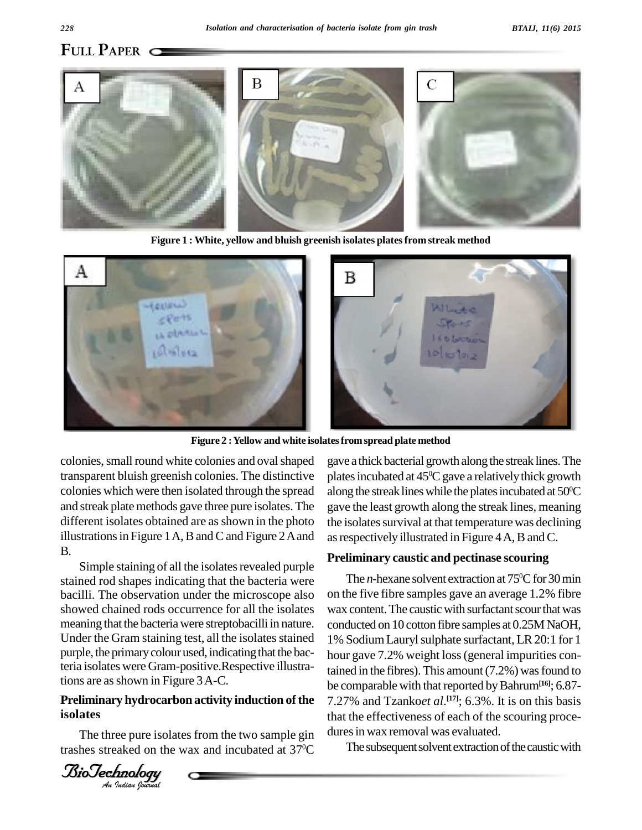

**Figure 1 : White, yellow and bluish greenish isolates platesfrom streak method**



**Figure 2 :Yellow and white isolatesfromspread plate method**

colonies, small round white colonies and oval shaped transparent bluish greenish colonies. The distinctive colonies which were then isolated through the spread and streak plate methods gave three pure isolates. The different isolates obtained are as shown in the photo illustrations in Figure 1A, B and C and Figure  $2A$  and B.

purple, the primary colour used, indicating that the bac-<br>torio isolates were Gram positive Pespective illustra Simple staining of all the isolates revealed purple stained rod shapes indicating that the bacteria were bacilli. The observation under the microscope also showed chained rods occurrence for all the isolates meaning that the bacteria were streptobacilli in nature. Under the Gram staining test, all the isolates stained teria isolates were Gram-positive.Respective illustrations are as shown in Figure 3A-C.

### *An***Preliminary hydrocarbon activity induction of the isolates**

The three pure isolates from the two sample gin trashes streaked on the wax and incubated at 37 gave a thick bacterial growth along the streak lines.The plates incubated at  $45^{\rm oC}$  gave a relatively thick growth along the streak lines while the plates incubated at  $50^{\circ}\textrm{C}$ gave the least growth along the streak lines, meaning the isolates survival at that temperature was declining as respectively illustrated in Figure 4A, B and C.

### **Preliminary caustic and pectinase scouring**

The *n*-hexane solvent extraction at 75<sup>o</sup>C for 30 min on the five fibre samples gave an average 1.2% fibre wax content. The caustic with surfactant scour that was conducted on 10 cotton fibre samples at 0.25M NaOH, 1% SodiumLaurylsulphate surfactant, LR20:1 for 1 hour gave 7.2% weight loss (general impurities contained in the fibres). This amount  $(7.2\%)$  was found to be comparable with that reported by Bahrum<sup>[16]</sup>; 6.87-7.27% and Tzanko*et al*. **[17]**; 6.3%. It is on this basis that the effectiveness of each of the scouring proce dures in wax removal was evaluated.

 $\rm{^{10}C}$  The subsequent solvent extraction of the caustic with

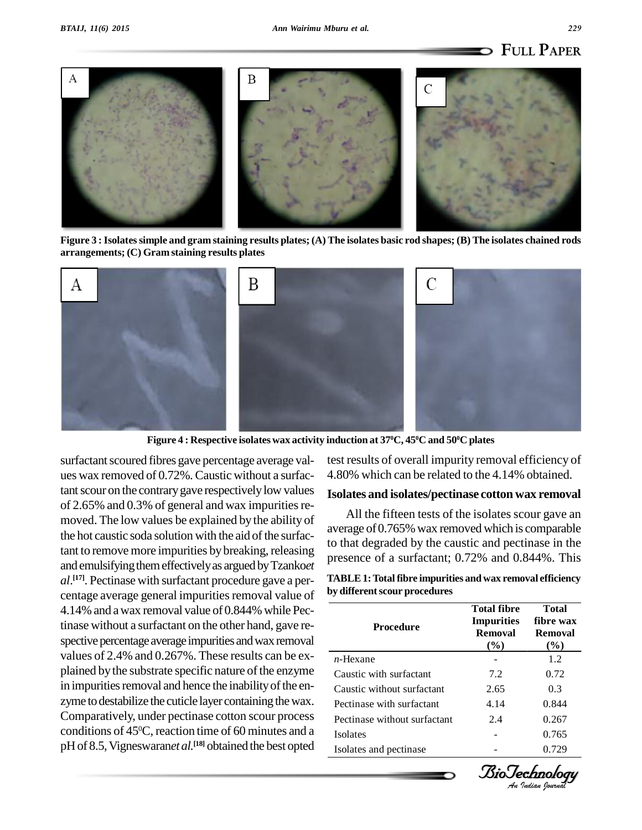



Figure 3 : Isolates simple and gram staining results plates; (A) The isolates basic rod shapes; (B) The isolates chained rods **arrangements; (C) Gram staining results plates**



Figure 4 : Respective isolates wax activity induction at 37ºC, 45ºC and 50ºC plates

surfactant scoured fibres gave percentage average values wax removed of 0.72%. Caustic without a surfactant scour on the contrary gave respectively low values of  $2.65\%$  and  $0.3\%$  of general and wax impurities removed. The low values be explained by the ability of the hot caustic soda solution with the aid of the surfactant to remove more impurities by breaking, releasing and emulsifyingthemeffectivelyas arguedbyTzanko*et al*.<sup>[17]</sup>. Pectinase with surfactant procedure gave a per- TAE centage average general impurities removal value of 4.14% and awax removal value of 0.844% while Pectinase without a surfactant on the other hand, gave re spective percentage average impurities and wax removal values of 2.4% and 0.267%. These results can be ex plained by the substrate specific nature of the enzyme in impurities removal and hence the inability of the enzyme to destabilize the cuticle layer containing the wax. Comparatively, under pectinase cotton scour process conditions of  $45^{\circ}$ C, reaction time of 60 minutes and a  $_{Isola}$ pH of 8.5, Vigneswaran*et al*.<sup>[18]</sup> obtained the best opted <sub>Isolate</sub>

test results of overall impurity removal efficiency of 4.80% which can be related to the 4.14% obtained.

#### **Isolates and isolates/pectinase cotton wax removal**

All the fifteen tests of the isolates scour gave an average of 0.765% wax removed which is comparable to that degraded by the caustic and pectinase in the presence of a surfactant; 0.72% and 0.844%. This

| TABLE 1: Total fibre impurities and wax removal efficiency |  |
|------------------------------------------------------------|--|
| by different scour procedures                              |  |

| $n$ -Hexane<br>1.2                           |
|----------------------------------------------|
|                                              |
| Caustic with surfactant<br>0.72<br>7.2       |
| Caustic without surfactant<br>2.65<br>0.3    |
| Pectinase with surfactant<br>0.844<br>4.14   |
| Pectinase without surfactant<br>0.267<br>2.4 |
| 0.765<br><b>Isolates</b>                     |
| 0.729<br>Isolates and pectinase              |

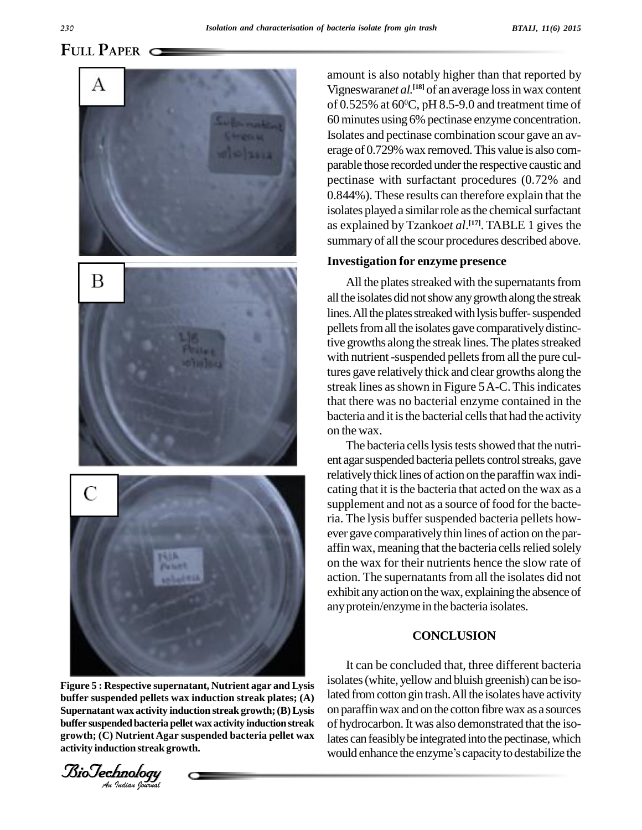

*An***buffer suspended pellets wax induction streak plates; (A) Figure 5 : Respective supernatant, Nutrient agar and Lysis Supernatant wax activity induction streak growth;(B)Lysis buffer suspendedbacteria pellet wax activity induction streak growth; (C) Nutrient Agar suspended bacteria pellet wax activity induction streak growth.**

*Indian Journal*

amount is also notably higher than that reported by Vigneswaran*et al.* **[18]** of an average lossinwax content of 0.525% at 60 $^{\rm o}$ C, pH 8.5-9.0 and treatment time of 60minutes using 6% pectinase enzyme concentration. Isolates and pectinase combination scour gave an av erage of 0.729% wax removed. This value is also comparable those recorded under the respective caustic and pectinase with surfactant procedures (0.72% and 0.844%). These results can therefore explain that the isolates played a similar role as the chemical surfactant as explained by Tzanko*et al*. **[17]**. TABLE 1 gives the summary of all the scour procedures described above.

#### **Investigation for enzyme presence**

All the plates streaked with the supernatants from all the isolates did not show any growth along the streak lines. All the plates streaked with lysis buffer-suspended pellets from all the isolates gave comparatively distinctive growths along the streak lines. The plates streaked with nutrient-suspended pellets from all the pure cultures gave relatively thick and clear growths along the streak lines as shown in Figure 5A-C. This indicates that there was no bacterial enzyme contained in the bacteria and it is the bacterial cells that had the activity on the wax.

The bacteria cells lysis tests showed that the nutrient agar suspended bacteria pellets control streaks, gave relativelythick lines of action on the paraffin wax indi cating that it is the bacteria that acted on the wax as a supplement and not as a source of food for the bacteria. The lysis buffer suspended bacteria pellets however gave comparativelythin lines of action on the par affin wax, meaning that the bacteria cells relied solely on the wax for their nutrients hence the slow rate of action. The supernatants from all the isolates did not exhibit any action on the wax, explaining the absence of anyprotein/enzyme in the bacteria isolates.

### **CONCLUSION**

It can be concluded that, three different bacteria isolates(white, yellowand bluish greenish) can be isolated from cotton gin trash. All the isolates have activity on paraffinwax and on the cotton fibrewax as a sources of hydrocarbon. It was also demonstrated that the isolates can feasibly be integrated into the pectinase, which would enhance the enzyme's capacity to destabilize the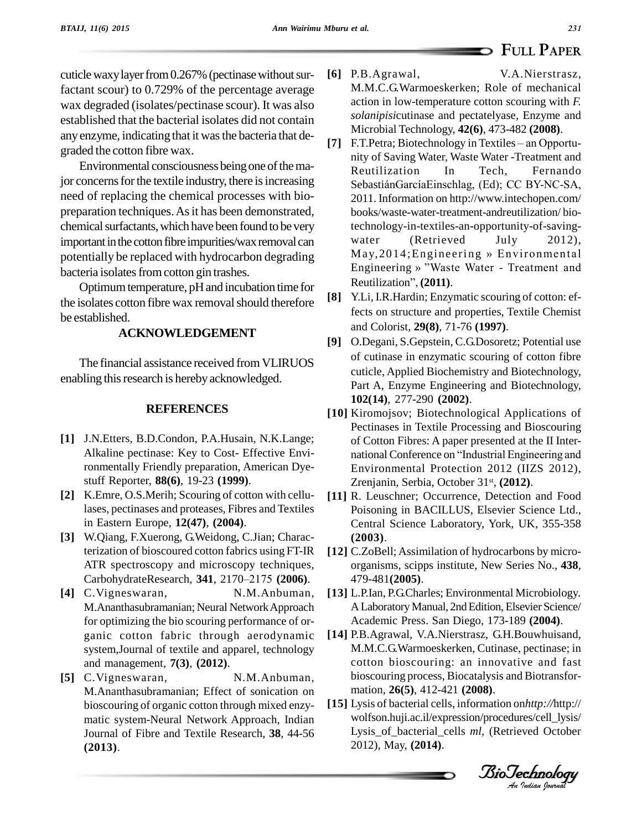cuticle waxy layer from 0.267% (pectinase without surfactant scour) to 0.729% of the percentage average wax degraded (isolates/pectinase scour). It was also established that the bacterial isolates did not contain any enzyme, indicating that it wasthe bacteria that de graded the cotton fibre wax.

Environmental consciousness being one of the major concerns for the textile industry, there is increasing need of replacing the chemical processes with bio preparation techniques. As it has been demonstrated, chemical surfactants, which have been found to be very important in the cotton fibre impurities/wax removal can water bacteria isolates from cotton gin trashes.

Optimum temperature, pH and incubation time for the isolates cotton fibre wax removal should therefore be established.

### **ACKNOWLEDGEMENT**

The financial assistance received from VLIRUOS enabling this research is hereby acknowledged.

#### **REFERENCES**

- **[1]** J.N.Etters, B.D.Condon, P.A.Husain, N.K.Lange; Alkaline pectinase: Key to Cost- Effective Environmentally Friendly preparation, American Dye stuff Reporter, **88(6)**, 19-23 **(1999)**.
- **[2]** K.Emre, O.S.Merih; Scouring of cotton with cellulases, pectinases and proteases, Fibres and Textiles in Eastern Europe, **12(47)**, **(2004)**.
- **[3]** W.Qiang, F.Xuerong, G.Weidong, C.Jian; Characterization of bioscoured cotton fabrics using FT-IR [12] C.Zo<br>ATR spectroscopy and microscopy techniques, orga<br>CarbohydrateResearch, **341**, 2170–2175 **(2006)**. 479-ATR spectroscopy and microscopy techniques,
- [4] C.Vigneswaran, N.M.Anbuman, M.Ananthasubramanian; Neural NetworkApproach for optimizing the bio scouring performance of or ganic cotton fabric through aerodynamic system,Journal of textile and apparel, technology and management, **7(3)**, **(2012)**.
- **[5]** C.Vigneswaran, N.M.Anbuman, M.Ananthasubramanian; Effect of sonication on bioscouring of organic cotton through mixed enzy matic system-Neural Network Approach, Indian Journal of Fibre and Textile Research, **38**, 44-56 **(2013)**.
- **[6]** P.B.Agrawal, V.A.Nierstrasz, M.M.C.G.Warmoeskerken; Role of mechanical action in low-temperature cotton scouring with *F. solanipisi*cutinase and pectatelyase, Enzyme and Microbial Technology, **42(6)**, 473-482 **(2008)**.
- potentially be replaced with hydrocarbon degrading May, 2014; Engineering » Environmental<br>
Engineering » "Waste Water Treatment and **F.T.Petra; Biotechnology in Textiles – an Opportu**nity of Saving Water, Waste Water -Treatment and Reutilization In Tech, Fernando SebastiánGarcíaEinschlag, (Ed); CC BY-NC-SA, 2011. Information on <http://www.intechopen.com/> books/waste-water-treatment-andreutilization/ biotechnology-in-textiles-an-opportunity-of-saving-  $(Retrieved$  July 2012), technology-in-textiles-an-opportunity-of-saving-<br>water (Retrieved July 2012),<br>May,2014;Engineering » Environmental water (Retrieved July 2012),<br>May, 2014; Engineering » Environmental<br>Engineering » "Waste Water - Treatment and May,2014;Engineerin<br>Engineering » "Waste W<br>Reutilization", (**2011**).
	- **[8]** Y.Li, I.R.Hardin; Enzymatic scouring of cotton: effects on structure and properties, Textile Chemist and Colorist, **29(8)**, 71-76 **(1997)**.
	- **[9]** O.Degani, S.Gepstein, C.G.Dosoretz; Potential use of cutinase in enzymatic scouring of cotton fibre cuticle, Applied Biochemistry and Biotechnology, Part A, Enzyme Engineering and Biotechnology, **102(14)**, 277-290 **(2002)**.
	- **[10]** Kiromojsov; Biotechnological Applications of Pectinases in Textile Processing and Bioscouring of Cotton Fibres: A paper presented at the II Inter national Conference on "Industrial Engineering and Environmental Protection 2012 (IIZS 2012), Zrenjanin, Serbia, October 31 st, **(2012)**.
	- [11] R. Leuschner; Occurrence, Detection and Food Poisoning in BACILLUS, Elsevier Science Ltd., Central Science Laboratory, York, UK, 355-358 **(2003)**.
	- **[12]** C.ZoBell; Assimilation of hydrocarbons by micro organisms, scipps institute, New Series No., **438**, 479-481**(2005)**.
	- **[13]** L.P.Ian, P.G.Charles; Environmental Microbiology*.* ALaboratoryManual, 2ndEdition,Elsevier Science/ Academic Press. San Diego, 173-189 **(2004)**.
	- M.M.C.G.Warmoeskerken, Cutinase, pectinase; in<br>cotton bioscouring: an innovative and fast **[14]** P.B.Agrawal, V.A.Nierstrasz, G.H.Bouwhuisand, M.M.C.G.Warmoeskerken, Cutinase, pectinase; in bioscouring process, Biocatalysis and Biotransfor mation, **26(5)**, 412-421 **(2008)**.
	- *An***[15]** Lysis of bacterial cells, information on*http://*http:// wolfson.huji.ac.il/expression/procedures/cell\_lysis/ Lysis\_of\_bacterial\_cells *ml,* (Retrieved October 2012), May, **(2014)**.

*Indian Journal*